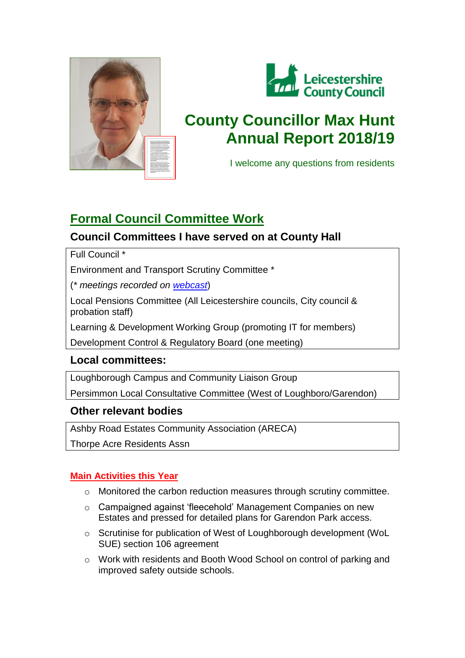



# **County Councillor Max Hunt Annual Report 2018/19**

I welcome any questions from residents

## **Formal Council Committee Work**

## **Council Committees I have served on at County Hall**

Full Council \*

Environment and Transport Scrutiny Committee \*

(*\* meetings recorded on [webcast](http://council.webcast.vualto.com/leicestershire-county-council/home)*)

Local Pensions Committee (All Leicestershire councils, City council & probation staff)

Learning & Development Working Group (promoting IT for members)

Development Control & Regulatory Board (one meeting)

## **Local committees:**

Loughborough Campus and Community Liaison Group

Persimmon Local Consultative Committee (West of Loughboro/Garendon)

## **Other relevant bodies**

Ashby Road Estates Community Association (ARECA)

Thorpe Acre Residents Assn

#### **Main Activities this Year**

- o Monitored the carbon reduction measures through scrutiny committee.
- o Campaigned against 'fleecehold' Management Companies on new Estates and pressed for detailed plans for Garendon Park access.
- o Scrutinise for publication of West of Loughborough development (WoL SUE) section 106 agreement
- o Work with residents and Booth Wood School on control of parking and improved safety outside schools.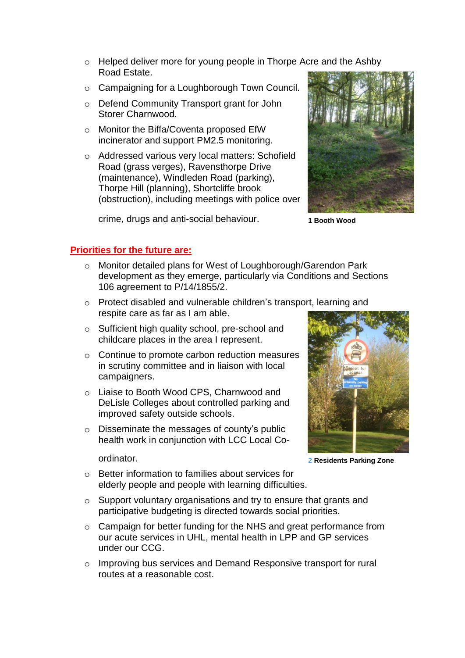- o Helped deliver more for young people in Thorpe Acre and the Ashby Road Estate.
- o Campaigning for a Loughborough Town Council.
- o Defend Community Transport grant for John Storer Charnwood.
- o Monitor the Biffa/Coventa proposed EfW incinerator and support PM2.5 monitoring.
- o Addressed various very local matters: Schofield Road (grass verges), Ravensthorpe Drive (maintenance), Windleden Road (parking), Thorpe Hill (planning), Shortcliffe brook (obstruction), including meetings with police over

crime, drugs and anti-social behaviour.



**1 Booth Wood**

#### **Priorities for the future are:**

- o Monitor detailed plans for West of Loughborough/Garendon Park development as they emerge, particularly via Conditions and Sections 106 agreement to P/14/1855/2.
- o Protect disabled and vulnerable children's transport, learning and respite care as far as I am able.
- o Sufficient high quality school, pre-school and childcare places in the area I represent.
- o Continue to promote carbon reduction measures in scrutiny committee and in liaison with local campaigners.
- o Liaise to Booth Wood CPS, Charnwood and DeLisle Colleges about controlled parking and improved safety outside schools.
- o Disseminate the messages of county's public health work in conjunction with LCC Local Co-

ordinator.



**2 Residents Parking Zone**

- o Better information to families about services for elderly people and people with learning difficulties.
- o Support voluntary organisations and try to ensure that grants and participative budgeting is directed towards social priorities.
- o Campaign for better funding for the NHS and great performance from our acute services in UHL, mental health in LPP and GP services under our CCG.
- $\circ$  Improving bus services and Demand Responsive transport for rural routes at a reasonable cost.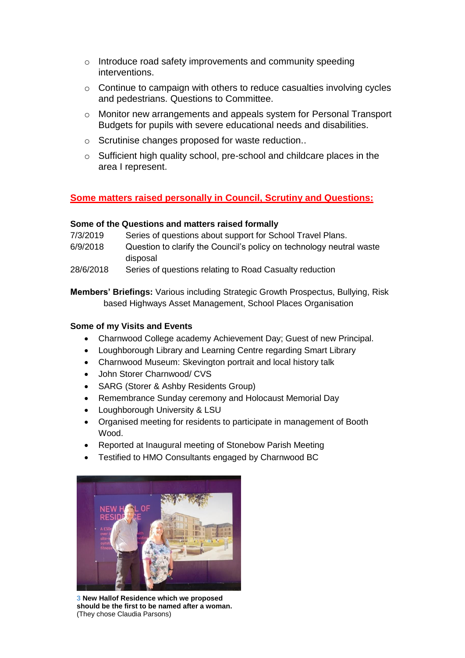- o Introduce road safety improvements and community speeding interventions.
- o Continue to campaign with others to reduce casualties involving cycles and pedestrians. Questions to Committee.
- o Monitor new arrangements and appeals system for Personal Transport Budgets for pupils with severe educational needs and disabilities.
- o Scrutinise changes proposed for waste reduction..
- o Sufficient high quality school, pre-school and childcare places in the area I represent.

#### **Some matters raised personally in Council, Scrutiny and Questions:**

#### **Some of the Questions and matters raised formally**

- 7/3/2019 Series of questions about support for School Travel Plans.
- 6/9/2018 Question to clarify the Council's policy on technology neutral waste disposal
- 28/6/2018 Series of questions relating to Road Casualty reduction

**Members' Briefings:** Various including Strategic Growth Prospectus, Bullying, Risk based Highways Asset Management, School Places Organisation

#### **Some of my Visits and Events**

- Charnwood College academy Achievement Day; Guest of new Principal.
- Loughborough Library and Learning Centre regarding Smart Library
- Charnwood Museum: Skevington portrait and local history talk
- John Storer Charnwood/ CVS
- SARG (Storer & Ashby Residents Group)
- Remembrance Sunday ceremony and Holocaust Memorial Day
- Loughborough University & LSU
- Organised meeting for residents to participate in management of Booth Wood.
- Reported at Inaugural meeting of Stonebow Parish Meeting
- Testified to HMO Consultants engaged by Charnwood BC



**3 New Hallof Residence which we proposed should be the first to be named after a woman.**  (They chose Claudia Parsons)